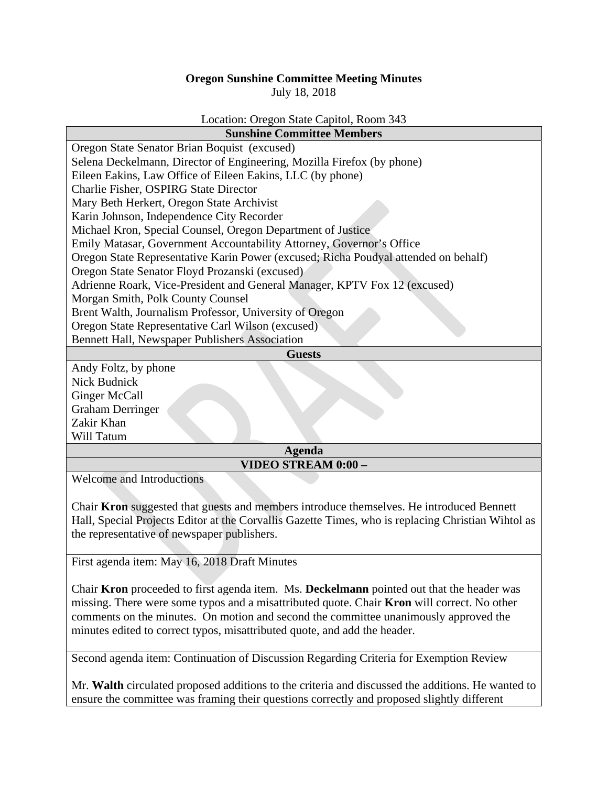## **Oregon Sunshine Committee Meeting Minutes**

July 18, 2018

## Location: Oregon State Capitol, Room 343

| Oregon State Senator Brian Boquist (excused)<br>Selena Deckelmann, Director of Engineering, Mozilla Firefox (by phone)<br>Eileen Eakins, Law Office of Eileen Eakins, LLC (by phone)<br>Charlie Fisher, OSPIRG State Director<br>Mary Beth Herkert, Oregon State Archivist<br>Karin Johnson, Independence City Recorder<br>Michael Kron, Special Counsel, Oregon Department of Justice<br>Emily Matasar, Government Accountability Attorney, Governor's Office<br>Oregon State Representative Karin Power (excused; Richa Poudyal attended on behalf)<br>Oregon State Senator Floyd Prozanski (excused)<br>Adrienne Roark, Vice-President and General Manager, KPTV Fox 12 (excused)<br>Morgan Smith, Polk County Counsel<br>Brent Walth, Journalism Professor, University of Oregon<br>Oregon State Representative Carl Wilson (excused)<br>Bennett Hall, Newspaper Publishers Association<br><b>Guests</b><br>Andy Foltz, by phone<br>Nick Budnick<br>Ginger McCall<br><b>Graham Derringer</b> | <b>Sunshine Committee Members</b> |
|--------------------------------------------------------------------------------------------------------------------------------------------------------------------------------------------------------------------------------------------------------------------------------------------------------------------------------------------------------------------------------------------------------------------------------------------------------------------------------------------------------------------------------------------------------------------------------------------------------------------------------------------------------------------------------------------------------------------------------------------------------------------------------------------------------------------------------------------------------------------------------------------------------------------------------------------------------------------------------------------------|-----------------------------------|
|                                                                                                                                                                                                                                                                                                                                                                                                                                                                                                                                                                                                                                                                                                                                                                                                                                                                                                                                                                                                  |                                   |
|                                                                                                                                                                                                                                                                                                                                                                                                                                                                                                                                                                                                                                                                                                                                                                                                                                                                                                                                                                                                  |                                   |
|                                                                                                                                                                                                                                                                                                                                                                                                                                                                                                                                                                                                                                                                                                                                                                                                                                                                                                                                                                                                  |                                   |
|                                                                                                                                                                                                                                                                                                                                                                                                                                                                                                                                                                                                                                                                                                                                                                                                                                                                                                                                                                                                  |                                   |
|                                                                                                                                                                                                                                                                                                                                                                                                                                                                                                                                                                                                                                                                                                                                                                                                                                                                                                                                                                                                  |                                   |
|                                                                                                                                                                                                                                                                                                                                                                                                                                                                                                                                                                                                                                                                                                                                                                                                                                                                                                                                                                                                  |                                   |
|                                                                                                                                                                                                                                                                                                                                                                                                                                                                                                                                                                                                                                                                                                                                                                                                                                                                                                                                                                                                  |                                   |
|                                                                                                                                                                                                                                                                                                                                                                                                                                                                                                                                                                                                                                                                                                                                                                                                                                                                                                                                                                                                  |                                   |
|                                                                                                                                                                                                                                                                                                                                                                                                                                                                                                                                                                                                                                                                                                                                                                                                                                                                                                                                                                                                  |                                   |
|                                                                                                                                                                                                                                                                                                                                                                                                                                                                                                                                                                                                                                                                                                                                                                                                                                                                                                                                                                                                  |                                   |
|                                                                                                                                                                                                                                                                                                                                                                                                                                                                                                                                                                                                                                                                                                                                                                                                                                                                                                                                                                                                  |                                   |
|                                                                                                                                                                                                                                                                                                                                                                                                                                                                                                                                                                                                                                                                                                                                                                                                                                                                                                                                                                                                  |                                   |
|                                                                                                                                                                                                                                                                                                                                                                                                                                                                                                                                                                                                                                                                                                                                                                                                                                                                                                                                                                                                  |                                   |
|                                                                                                                                                                                                                                                                                                                                                                                                                                                                                                                                                                                                                                                                                                                                                                                                                                                                                                                                                                                                  |                                   |
|                                                                                                                                                                                                                                                                                                                                                                                                                                                                                                                                                                                                                                                                                                                                                                                                                                                                                                                                                                                                  |                                   |
|                                                                                                                                                                                                                                                                                                                                                                                                                                                                                                                                                                                                                                                                                                                                                                                                                                                                                                                                                                                                  |                                   |
|                                                                                                                                                                                                                                                                                                                                                                                                                                                                                                                                                                                                                                                                                                                                                                                                                                                                                                                                                                                                  |                                   |
|                                                                                                                                                                                                                                                                                                                                                                                                                                                                                                                                                                                                                                                                                                                                                                                                                                                                                                                                                                                                  |                                   |
|                                                                                                                                                                                                                                                                                                                                                                                                                                                                                                                                                                                                                                                                                                                                                                                                                                                                                                                                                                                                  |                                   |
|                                                                                                                                                                                                                                                                                                                                                                                                                                                                                                                                                                                                                                                                                                                                                                                                                                                                                                                                                                                                  |                                   |
|                                                                                                                                                                                                                                                                                                                                                                                                                                                                                                                                                                                                                                                                                                                                                                                                                                                                                                                                                                                                  | Zakir Khan                        |
| Will Tatum                                                                                                                                                                                                                                                                                                                                                                                                                                                                                                                                                                                                                                                                                                                                                                                                                                                                                                                                                                                       |                                   |
| <b>Agenda</b>                                                                                                                                                                                                                                                                                                                                                                                                                                                                                                                                                                                                                                                                                                                                                                                                                                                                                                                                                                                    |                                   |
| VIDEO STREAM 0:00 –<br>$\mathbf{X} \mathbf{X}$<br>$1$ T $\lambda$ 1                                                                                                                                                                                                                                                                                                                                                                                                                                                                                                                                                                                                                                                                                                                                                                                                                                                                                                                              |                                   |

Welcome and Introductions

Chair **Kron** suggested that guests and members introduce themselves. He introduced Bennett Hall, Special Projects Editor at the Corvallis Gazette Times, who is replacing Christian Wihtol as the representative of newspaper publishers.

First agenda item: May 16, 2018 Draft Minutes

Chair **Kron** proceeded to first agenda item. Ms. **Deckelmann** pointed out that the header was missing. There were some typos and a misattributed quote. Chair **Kron** will correct. No other comments on the minutes. On motion and second the committee unanimously approved the minutes edited to correct typos, misattributed quote, and add the header.

Second agenda item: Continuation of Discussion Regarding Criteria for Exemption Review

Mr. **Walth** circulated proposed additions to the criteria and discussed the additions. He wanted to ensure the committee was framing their questions correctly and proposed slightly different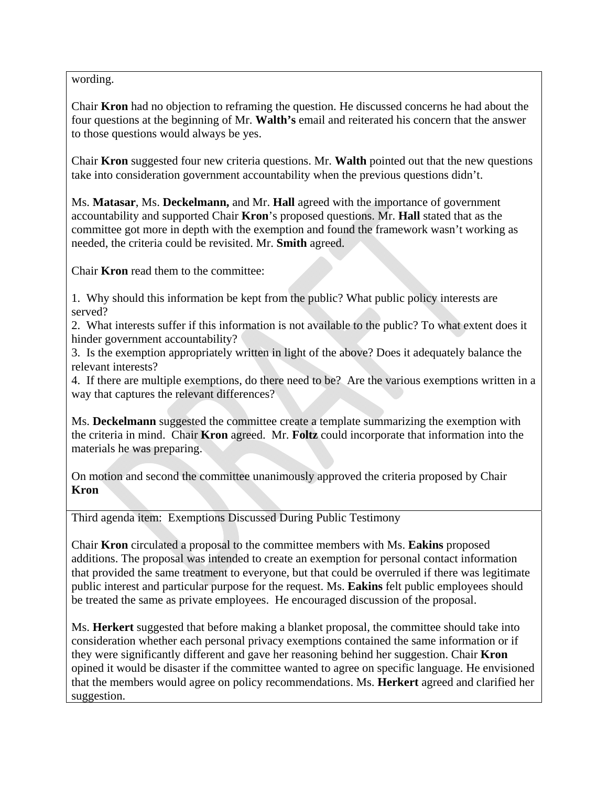wording.

Chair **Kron** had no objection to reframing the question. He discussed concerns he had about the four questions at the beginning of Mr. **Walth's** email and reiterated his concern that the answer to those questions would always be yes.

Chair **Kron** suggested four new criteria questions. Mr. **Walth** pointed out that the new questions take into consideration government accountability when the previous questions didn't.

Ms. **Matasar**, Ms. **Deckelmann,** and Mr. **Hall** agreed with the importance of government accountability and supported Chair **Kron**'s proposed questions. Mr. **Hall** stated that as the committee got more in depth with the exemption and found the framework wasn't working as needed, the criteria could be revisited. Mr. **Smith** agreed.

Chair **Kron** read them to the committee:

1. Why should this information be kept from the public? What public policy interests are served?

2. What interests suffer if this information is not available to the public? To what extent does it hinder government accountability?

3. Is the exemption appropriately written in light of the above? Does it adequately balance the relevant interests?

4. If there are multiple exemptions, do there need to be? Are the various exemptions written in a way that captures the relevant differences?

Ms. **Deckelmann** suggested the committee create a template summarizing the exemption with the criteria in mind. Chair **Kron** agreed. Mr. **Foltz** could incorporate that information into the materials he was preparing.

On motion and second the committee unanimously approved the criteria proposed by Chair **Kron**

Third agenda item: Exemptions Discussed During Public Testimony

Chair **Kron** circulated a proposal to the committee members with Ms. **Eakins** proposed additions. The proposal was intended to create an exemption for personal contact information that provided the same treatment to everyone, but that could be overruled if there was legitimate public interest and particular purpose for the request. Ms. **Eakins** felt public employees should be treated the same as private employees. He encouraged discussion of the proposal.

Ms. **Herkert** suggested that before making a blanket proposal, the committee should take into consideration whether each personal privacy exemptions contained the same information or if they were significantly different and gave her reasoning behind her suggestion. Chair **Kron** opined it would be disaster if the committee wanted to agree on specific language. He envisioned that the members would agree on policy recommendations. Ms. **Herkert** agreed and clarified her suggestion.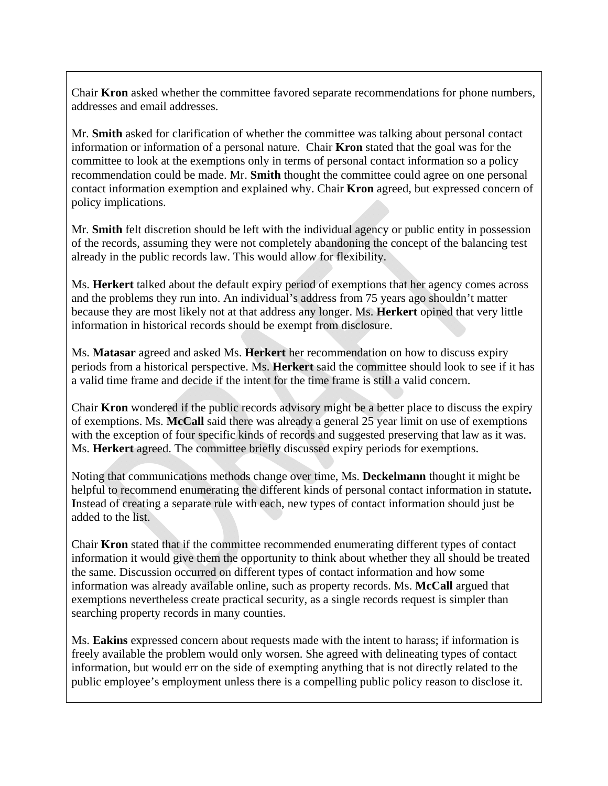Chair **Kron** asked whether the committee favored separate recommendations for phone numbers, addresses and email addresses.

Mr. **Smith** asked for clarification of whether the committee was talking about personal contact information or information of a personal nature. Chair **Kron** stated that the goal was for the committee to look at the exemptions only in terms of personal contact information so a policy recommendation could be made. Mr. **Smith** thought the committee could agree on one personal contact information exemption and explained why. Chair **Kron** agreed, but expressed concern of policy implications.

Mr. **Smith** felt discretion should be left with the individual agency or public entity in possession of the records, assuming they were not completely abandoning the concept of the balancing test already in the public records law. This would allow for flexibility.

Ms. **Herkert** talked about the default expiry period of exemptions that her agency comes across and the problems they run into. An individual's address from 75 years ago shouldn't matter because they are most likely not at that address any longer. Ms. **Herkert** opined that very little information in historical records should be exempt from disclosure.

Ms. **Matasar** agreed and asked Ms. **Herkert** her recommendation on how to discuss expiry periods from a historical perspective. Ms. **Herkert** said the committee should look to see if it has a valid time frame and decide if the intent for the time frame is still a valid concern.

Chair **Kron** wondered if the public records advisory might be a better place to discuss the expiry of exemptions. Ms. **McCall** said there was already a general 25 year limit on use of exemptions with the exception of four specific kinds of records and suggested preserving that law as it was. Ms. **Herkert** agreed. The committee briefly discussed expiry periods for exemptions.

Noting that communications methods change over time, Ms. **Deckelmann** thought it might be helpful to recommend enumerating the different kinds of personal contact information in statute**. I**nstead of creating a separate rule with each, new types of contact information should just be added to the list.

Chair **Kron** stated that if the committee recommended enumerating different types of contact information it would give them the opportunity to think about whether they all should be treated the same. Discussion occurred on different types of contact information and how some information was already available online, such as property records. Ms. **McCall** argued that exemptions nevertheless create practical security, as a single records request is simpler than searching property records in many counties.

Ms. **Eakins** expressed concern about requests made with the intent to harass; if information is freely available the problem would only worsen. She agreed with delineating types of contact information, but would err on the side of exempting anything that is not directly related to the public employee's employment unless there is a compelling public policy reason to disclose it.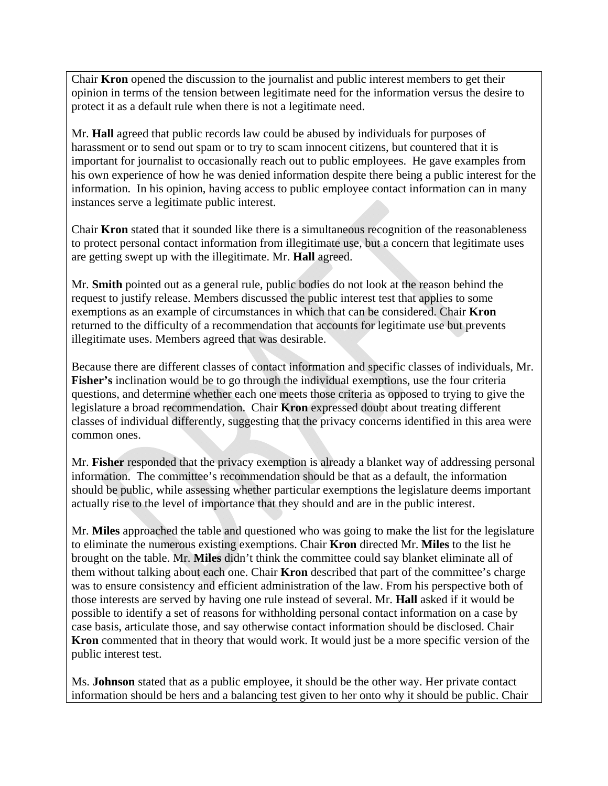Chair **Kron** opened the discussion to the journalist and public interest members to get their opinion in terms of the tension between legitimate need for the information versus the desire to protect it as a default rule when there is not a legitimate need.

Mr. **Hall** agreed that public records law could be abused by individuals for purposes of harassment or to send out spam or to try to scam innocent citizens, but countered that it is important for journalist to occasionally reach out to public employees. He gave examples from his own experience of how he was denied information despite there being a public interest for the information. In his opinion, having access to public employee contact information can in many instances serve a legitimate public interest.

Chair **Kron** stated that it sounded like there is a simultaneous recognition of the reasonableness to protect personal contact information from illegitimate use, but a concern that legitimate uses are getting swept up with the illegitimate. Mr. **Hall** agreed.

Mr. **Smith** pointed out as a general rule, public bodies do not look at the reason behind the request to justify release. Members discussed the public interest test that applies to some exemptions as an example of circumstances in which that can be considered. Chair **Kron** returned to the difficulty of a recommendation that accounts for legitimate use but prevents illegitimate uses. Members agreed that was desirable.

Because there are different classes of contact information and specific classes of individuals, Mr. **Fisher's** inclination would be to go through the individual exemptions, use the four criteria questions, and determine whether each one meets those criteria as opposed to trying to give the legislature a broad recommendation. Chair **Kron** expressed doubt about treating different classes of individual differently, suggesting that the privacy concerns identified in this area were common ones.

Mr. **Fisher** responded that the privacy exemption is already a blanket way of addressing personal information. The committee's recommendation should be that as a default, the information should be public, while assessing whether particular exemptions the legislature deems important actually rise to the level of importance that they should and are in the public interest.

Mr. **Miles** approached the table and questioned who was going to make the list for the legislature to eliminate the numerous existing exemptions. Chair **Kron** directed Mr. **Miles** to the list he brought on the table. Mr. **Miles** didn't think the committee could say blanket eliminate all of them without talking about each one. Chair **Kron** described that part of the committee's charge was to ensure consistency and efficient administration of the law. From his perspective both of those interests are served by having one rule instead of several. Mr. **Hall** asked if it would be possible to identify a set of reasons for withholding personal contact information on a case by case basis, articulate those, and say otherwise contact information should be disclosed. Chair **Kron** commented that in theory that would work. It would just be a more specific version of the public interest test.

Ms. **Johnson** stated that as a public employee, it should be the other way. Her private contact information should be hers and a balancing test given to her onto why it should be public. Chair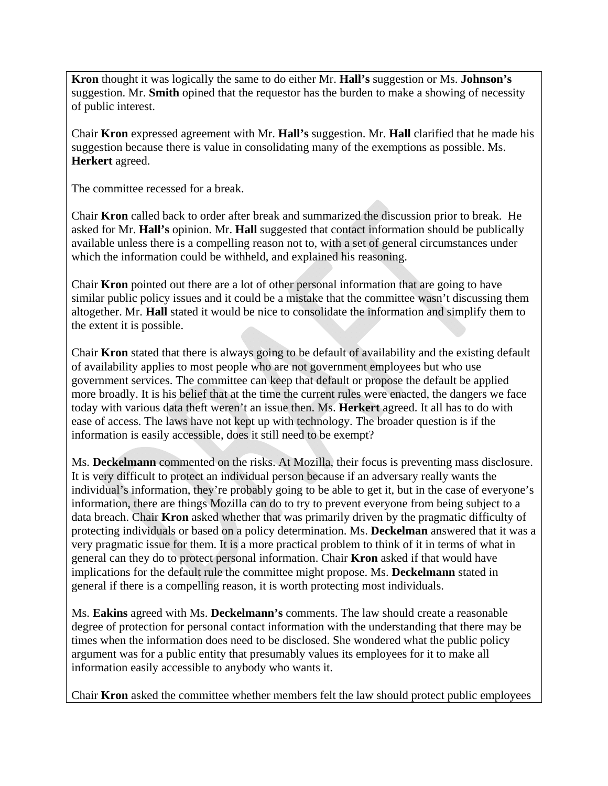**Kron** thought it was logically the same to do either Mr. **Hall's** suggestion or Ms. **Johnson's** suggestion. Mr. **Smith** opined that the requestor has the burden to make a showing of necessity of public interest.

Chair **Kron** expressed agreement with Mr. **Hall's** suggestion. Mr. **Hall** clarified that he made his suggestion because there is value in consolidating many of the exemptions as possible. Ms. **Herkert** agreed.

The committee recessed for a break.

Chair **Kron** called back to order after break and summarized the discussion prior to break. He asked for Mr. **Hall's** opinion. Mr. **Hall** suggested that contact information should be publically available unless there is a compelling reason not to, with a set of general circumstances under which the information could be withheld, and explained his reasoning.

Chair **Kron** pointed out there are a lot of other personal information that are going to have similar public policy issues and it could be a mistake that the committee wasn't discussing them altogether. Mr. **Hall** stated it would be nice to consolidate the information and simplify them to the extent it is possible.

Chair **Kron** stated that there is always going to be default of availability and the existing default of availability applies to most people who are not government employees but who use government services. The committee can keep that default or propose the default be applied more broadly. It is his belief that at the time the current rules were enacted, the dangers we face today with various data theft weren't an issue then. Ms. **Herkert** agreed. It all has to do with ease of access. The laws have not kept up with technology. The broader question is if the information is easily accessible, does it still need to be exempt?

Ms. **Deckelmann** commented on the risks. At Mozilla, their focus is preventing mass disclosure. It is very difficult to protect an individual person because if an adversary really wants the individual's information, they're probably going to be able to get it, but in the case of everyone's information, there are things Mozilla can do to try to prevent everyone from being subject to a data breach. Chair **Kron** asked whether that was primarily driven by the pragmatic difficulty of protecting individuals or based on a policy determination. Ms. **Deckelman** answered that it was a very pragmatic issue for them. It is a more practical problem to think of it in terms of what in general can they do to protect personal information. Chair **Kron** asked if that would have implications for the default rule the committee might propose. Ms. **Deckelmann** stated in general if there is a compelling reason, it is worth protecting most individuals.

Ms. **Eakins** agreed with Ms. **Deckelmann's** comments. The law should create a reasonable degree of protection for personal contact information with the understanding that there may be times when the information does need to be disclosed. She wondered what the public policy argument was for a public entity that presumably values its employees for it to make all information easily accessible to anybody who wants it.

Chair **Kron** asked the committee whether members felt the law should protect public employees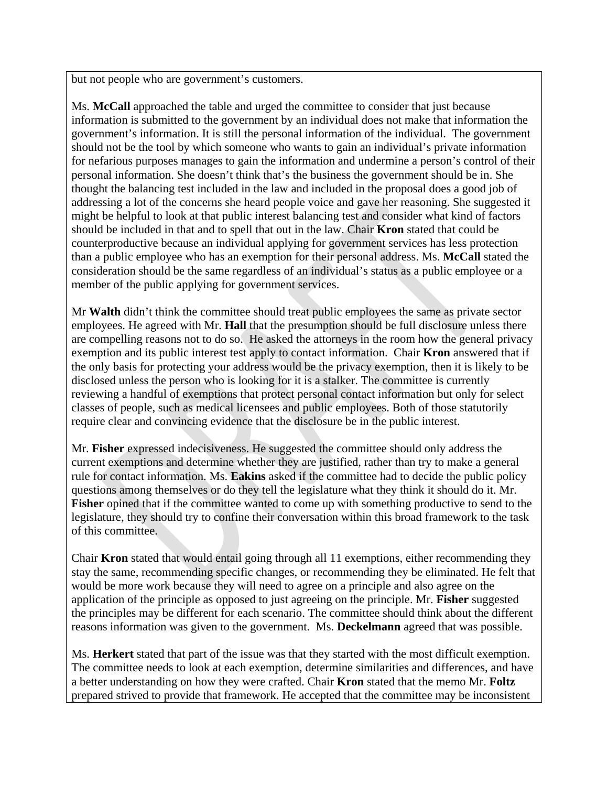but not people who are government's customers.

Ms. **McCall** approached the table and urged the committee to consider that just because information is submitted to the government by an individual does not make that information the government's information. It is still the personal information of the individual. The government should not be the tool by which someone who wants to gain an individual's private information for nefarious purposes manages to gain the information and undermine a person's control of their personal information. She doesn't think that's the business the government should be in. She thought the balancing test included in the law and included in the proposal does a good job of addressing a lot of the concerns she heard people voice and gave her reasoning. She suggested it might be helpful to look at that public interest balancing test and consider what kind of factors should be included in that and to spell that out in the law. Chair **Kron** stated that could be counterproductive because an individual applying for government services has less protection than a public employee who has an exemption for their personal address. Ms. **McCall** stated the consideration should be the same regardless of an individual's status as a public employee or a member of the public applying for government services.

Mr **Walth** didn't think the committee should treat public employees the same as private sector employees. He agreed with Mr. **Hall** that the presumption should be full disclosure unless there are compelling reasons not to do so. He asked the attorneys in the room how the general privacy exemption and its public interest test apply to contact information. Chair **Kron** answered that if the only basis for protecting your address would be the privacy exemption, then it is likely to be disclosed unless the person who is looking for it is a stalker. The committee is currently reviewing a handful of exemptions that protect personal contact information but only for select classes of people, such as medical licensees and public employees. Both of those statutorily require clear and convincing evidence that the disclosure be in the public interest.

Mr. **Fisher** expressed indecisiveness. He suggested the committee should only address the current exemptions and determine whether they are justified, rather than try to make a general rule for contact information. Ms. **Eakins** asked if the committee had to decide the public policy questions among themselves or do they tell the legislature what they think it should do it. Mr. **Fisher** opined that if the committee wanted to come up with something productive to send to the legislature, they should try to confine their conversation within this broad framework to the task of this committee.

Chair **Kron** stated that would entail going through all 11 exemptions, either recommending they stay the same, recommending specific changes, or recommending they be eliminated. He felt that would be more work because they will need to agree on a principle and also agree on the application of the principle as opposed to just agreeing on the principle. Mr. **Fisher** suggested the principles may be different for each scenario. The committee should think about the different reasons information was given to the government. Ms. **Deckelmann** agreed that was possible.

Ms. **Herkert** stated that part of the issue was that they started with the most difficult exemption. The committee needs to look at each exemption, determine similarities and differences, and have a better understanding on how they were crafted. Chair **Kron** stated that the memo Mr. **Foltz** prepared strived to provide that framework. He accepted that the committee may be inconsistent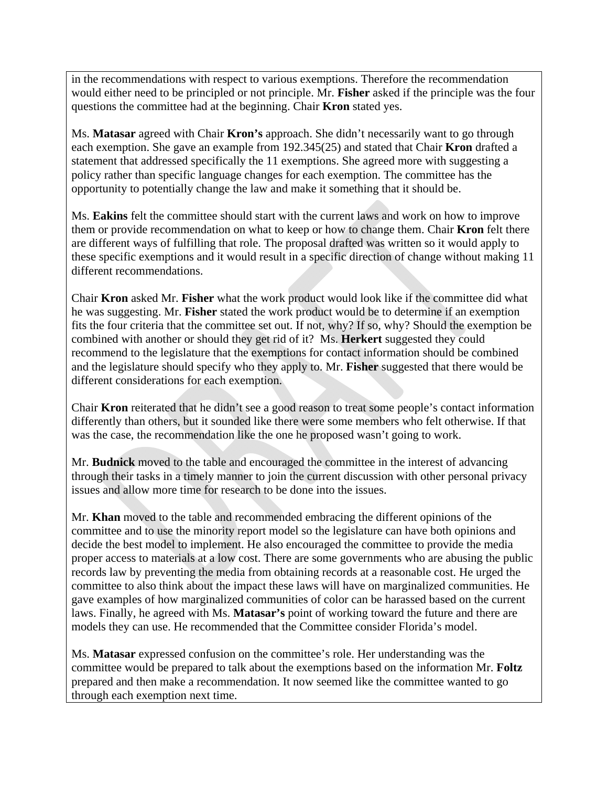in the recommendations with respect to various exemptions. Therefore the recommendation would either need to be principled or not principle. Mr. **Fisher** asked if the principle was the four questions the committee had at the beginning. Chair **Kron** stated yes.

Ms. **Matasar** agreed with Chair **Kron's** approach. She didn't necessarily want to go through each exemption. She gave an example from 192.345(25) and stated that Chair **Kron** drafted a statement that addressed specifically the 11 exemptions. She agreed more with suggesting a policy rather than specific language changes for each exemption. The committee has the opportunity to potentially change the law and make it something that it should be.

Ms. **Eakins** felt the committee should start with the current laws and work on how to improve them or provide recommendation on what to keep or how to change them. Chair **Kron** felt there are different ways of fulfilling that role. The proposal drafted was written so it would apply to these specific exemptions and it would result in a specific direction of change without making 11 different recommendations.

Chair **Kron** asked Mr. **Fisher** what the work product would look like if the committee did what he was suggesting. Mr. **Fisher** stated the work product would be to determine if an exemption fits the four criteria that the committee set out. If not, why? If so, why? Should the exemption be combined with another or should they get rid of it? Ms. **Herkert** suggested they could recommend to the legislature that the exemptions for contact information should be combined and the legislature should specify who they apply to. Mr. **Fisher** suggested that there would be different considerations for each exemption.

Chair **Kron** reiterated that he didn't see a good reason to treat some people's contact information differently than others, but it sounded like there were some members who felt otherwise. If that was the case, the recommendation like the one he proposed wasn't going to work.

Mr. **Budnick** moved to the table and encouraged the committee in the interest of advancing through their tasks in a timely manner to join the current discussion with other personal privacy issues and allow more time for research to be done into the issues.

Mr. **Khan** moved to the table and recommended embracing the different opinions of the committee and to use the minority report model so the legislature can have both opinions and decide the best model to implement. He also encouraged the committee to provide the media proper access to materials at a low cost. There are some governments who are abusing the public records law by preventing the media from obtaining records at a reasonable cost. He urged the committee to also think about the impact these laws will have on marginalized communities. He gave examples of how marginalized communities of color can be harassed based on the current laws. Finally, he agreed with Ms. **Matasar's** point of working toward the future and there are models they can use. He recommended that the Committee consider Florida's model.

Ms. **Matasar** expressed confusion on the committee's role. Her understanding was the committee would be prepared to talk about the exemptions based on the information Mr. **Foltz** prepared and then make a recommendation. It now seemed like the committee wanted to go through each exemption next time.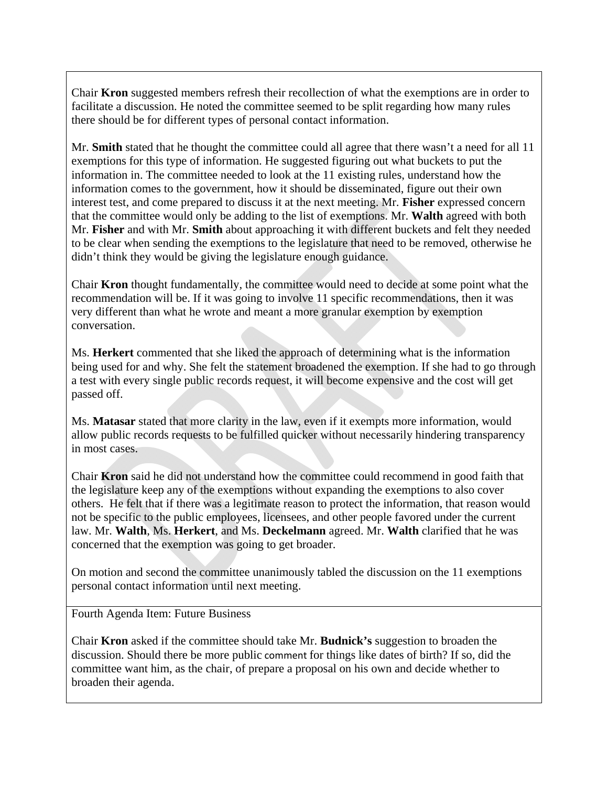Chair **Kron** suggested members refresh their recollection of what the exemptions are in order to facilitate a discussion. He noted the committee seemed to be split regarding how many rules there should be for different types of personal contact information.

Mr. **Smith** stated that he thought the committee could all agree that there wasn't a need for all 11 exemptions for this type of information. He suggested figuring out what buckets to put the information in. The committee needed to look at the 11 existing rules, understand how the information comes to the government, how it should be disseminated, figure out their own interest test, and come prepared to discuss it at the next meeting. Mr. **Fisher** expressed concern that the committee would only be adding to the list of exemptions. Mr. **Walth** agreed with both Mr. **Fisher** and with Mr. **Smith** about approaching it with different buckets and felt they needed to be clear when sending the exemptions to the legislature that need to be removed, otherwise he didn't think they would be giving the legislature enough guidance.

Chair **Kron** thought fundamentally, the committee would need to decide at some point what the recommendation will be. If it was going to involve 11 specific recommendations, then it was very different than what he wrote and meant a more granular exemption by exemption conversation.

Ms. **Herkert** commented that she liked the approach of determining what is the information being used for and why. She felt the statement broadened the exemption. If she had to go through a test with every single public records request, it will become expensive and the cost will get passed off.

Ms. **Matasar** stated that more clarity in the law, even if it exempts more information, would allow public records requests to be fulfilled quicker without necessarily hindering transparency in most cases.

Chair **Kron** said he did not understand how the committee could recommend in good faith that the legislature keep any of the exemptions without expanding the exemptions to also cover others. He felt that if there was a legitimate reason to protect the information, that reason would not be specific to the public employees, licensees, and other people favored under the current law. Mr. **Walth**, Ms. **Herkert**, and Ms. **Deckelmann** agreed. Mr. **Walth** clarified that he was concerned that the exemption was going to get broader.

On motion and second the committee unanimously tabled the discussion on the 11 exemptions personal contact information until next meeting.

Fourth Agenda Item: Future Business

Chair **Kron** asked if the committee should take Mr. **Budnick's** suggestion to broaden the discussion. Should there be more public comment for things like dates of birth? If so, did the committee want him, as the chair, of prepare a proposal on his own and decide whether to broaden their agenda.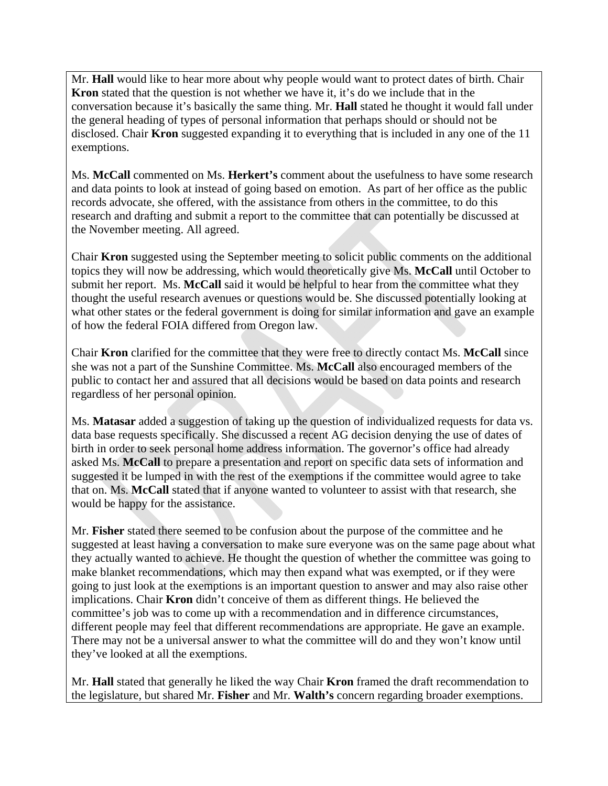Mr. **Hall** would like to hear more about why people would want to protect dates of birth. Chair **Kron** stated that the question is not whether we have it, it's do we include that in the conversation because it's basically the same thing. Mr. **Hall** stated he thought it would fall under the general heading of types of personal information that perhaps should or should not be disclosed. Chair **Kron** suggested expanding it to everything that is included in any one of the 11 exemptions.

Ms. **McCall** commented on Ms. **Herkert's** comment about the usefulness to have some research and data points to look at instead of going based on emotion. As part of her office as the public records advocate, she offered, with the assistance from others in the committee, to do this research and drafting and submit a report to the committee that can potentially be discussed at the November meeting. All agreed.

Chair **Kron** suggested using the September meeting to solicit public comments on the additional topics they will now be addressing, which would theoretically give Ms. **McCall** until October to submit her report. Ms. **McCall** said it would be helpful to hear from the committee what they thought the useful research avenues or questions would be. She discussed potentially looking at what other states or the federal government is doing for similar information and gave an example of how the federal FOIA differed from Oregon law.

Chair **Kron** clarified for the committee that they were free to directly contact Ms. **McCall** since she was not a part of the Sunshine Committee. Ms. **McCall** also encouraged members of the public to contact her and assured that all decisions would be based on data points and research regardless of her personal opinion.

Ms. **Matasar** added a suggestion of taking up the question of individualized requests for data vs. data base requests specifically. She discussed a recent AG decision denying the use of dates of birth in order to seek personal home address information. The governor's office had already asked Ms. **McCall** to prepare a presentation and report on specific data sets of information and suggested it be lumped in with the rest of the exemptions if the committee would agree to take that on. Ms. **McCall** stated that if anyone wanted to volunteer to assist with that research, she would be happy for the assistance.

Mr. **Fisher** stated there seemed to be confusion about the purpose of the committee and he suggested at least having a conversation to make sure everyone was on the same page about what they actually wanted to achieve. He thought the question of whether the committee was going to make blanket recommendations, which may then expand what was exempted, or if they were going to just look at the exemptions is an important question to answer and may also raise other implications. Chair **Kron** didn't conceive of them as different things. He believed the committee's job was to come up with a recommendation and in difference circumstances, different people may feel that different recommendations are appropriate. He gave an example. There may not be a universal answer to what the committee will do and they won't know until they've looked at all the exemptions.

Mr. **Hall** stated that generally he liked the way Chair **Kron** framed the draft recommendation to the legislature, but shared Mr. **Fisher** and Mr. **Walth's** concern regarding broader exemptions.